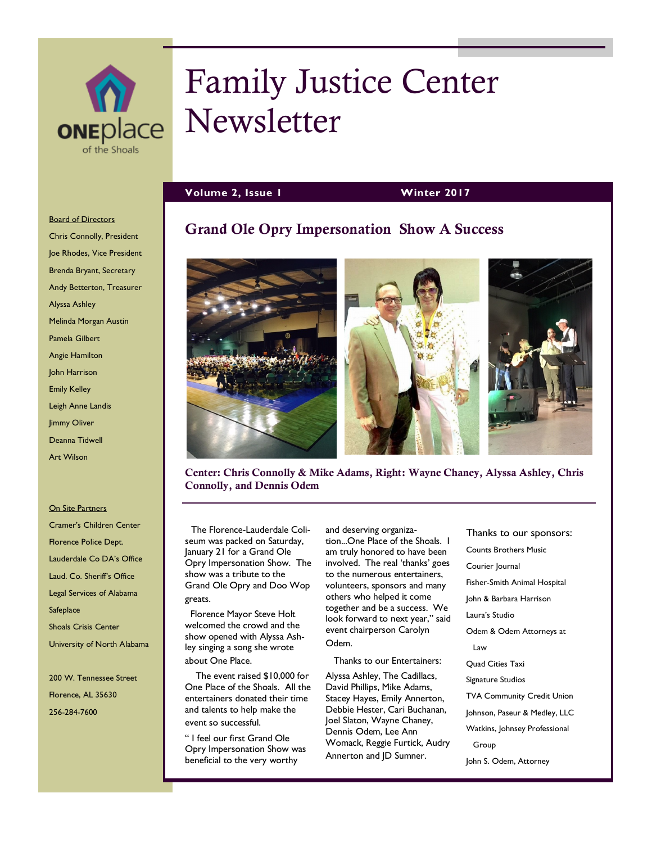

# Family Justice Center **ONEDLACE Newsletter**

**Grand Ole Opry Impersonation Show A Success**

**Volume 2, Issue 1 Winter 2017**

#### **Board of Directors**

Chris Connolly, President Joe Rhodes, Vice President Brenda Bryant, Secretary Andy Betterton, Treasurer Alyssa Ashley Melinda Morgan Austin Pamela Gilbert Angie Hamilton John Harrison Emily Kelley Leigh Anne Landis Jimmy Oliver Deanna Tidwell Art Wilson

#### On Site Partners

Cramer's Children Center Florence Police Dept. Lauderdale Co DA's Office Laud. Co. Sheriff's Office Legal Services of Alabama **Safeplace** Shoals Crisis Center University of North Alabama

200 W. Tennessee Street Florence, AL 35630 256-284-7600



**Center: Chris Connolly & Mike Adams, Right: Wayne Chaney, Alyssa Ashley, Chris Connolly, and Dennis Odem**

 The Florence-Lauderdale Coliseum was packed on Saturday, January 21 for a Grand Ole Opry Impersonation Show. The show was a tribute to the Grand Ole Opry and Doo Wop greats.

 Florence Mayor Steve Holt welcomed the crowd and the show opened with Alyssa Ashley singing a song she wrote about One Place.

 The event raised \$10,000 for One Place of the Shoals. All the entertainers donated their time and talents to help make the event so successful.

" I feel our first Grand Ole Opry Impersonation Show was beneficial to the very worthy

and deserving organization...One Place of the Shoals. I am truly honored to have been involved. The real 'thanks' goes to the numerous entertainers, volunteers, sponsors and many others who helped it come together and be a success. We look forward to next year," said event chairperson Carolyn Odem.

Thanks to our Entertainers:

Alyssa Ashley, The Cadillacs, David Phillips, Mike Adams, Stacey Hayes, Emily Annerton, Debbie Hester, Cari Buchanan, Joel Slaton, Wayne Chaney, Dennis Odem, Lee Ann Womack, Reggie Furtick, Audry Annerton and JD Sumner.

Thanks to our sponsors: Counts Brothers Music Courier Journal Fisher-Smith Animal Hospital John & Barbara Harrison Laura's Studio Odem & Odem Attorneys at Law Quad Cities Taxi Signature Studios TVA Community Credit Union Johnson, Paseur & Medley, LLC Watkins, Johnsey Professional Group John S. Odem, Attorney